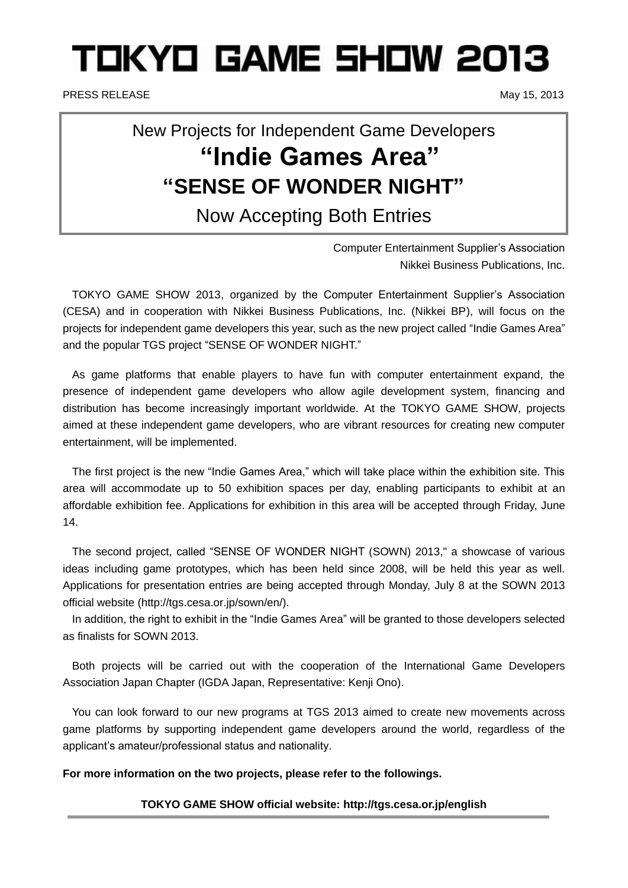# TOKYO GAME SHOW 2013

PRESS RELEASE May 15, 2013

# New Projects for Independent Game Developers **"Indie Games Area" "SENSE OF WONDER NIGHT"**

Now Accepting Both Entries

Computer Entertainment Supplier's Association Nikkei Business Publications, Inc.

TOKYO GAME SHOW 2013, organized by the Computer Entertainment Supplier's Association (CESA) and in cooperation with Nikkei Business Publications, Inc. (Nikkei BP), will focus on the projects for independent game developers this year, such as the new project called "Indie Games Area" and the popular TGS project "SENSE OF WONDER NIGHT."

As game platforms that enable players to have fun with computer entertainment expand, the presence of independent game developers who allow agile development system, financing and distribution has become increasingly important worldwide. At the TOKYO GAME SHOW, projects aimed at these independent game developers, who are vibrant resources for creating new computer entertainment, will be implemented.

The first project is the new "Indie Games Area," which will take place within the exhibition site. This area will accommodate up to 50 exhibition spaces per day, enabling participants to exhibit at an affordable exhibition fee. Applications for exhibition in this area will be accepted through Friday, June 14.

The second project, called "SENSE OF WONDER NIGHT (SOWN) 2013," a showcase of various ideas including game prototypes, which has been held since 2008, will be held this year as well. Applications for presentation entries are being accepted through Monday, July 8 at the SOWN 2013 official website (http://tgs.cesa.or.jp/sown/en/).

In addition, the right to exhibit in the "Indie Games Area" will be granted to those developers selected as finalists for SOWN 2013.

Both projects will be carried out with the cooperation of the International Game Developers Association Japan Chapter (IGDA Japan, Representative: Kenji Ono).

You can look forward to our new programs at TGS 2013 aimed to create new movements across game platforms by supporting independent game developers around the world, regardless of the applicant's amateur/professional status and nationality.

**For more information on the two projects, please refer to the followings.**

#### **TOKYO GAME SHOW official website: http://tgs.cesa.or.jp/english**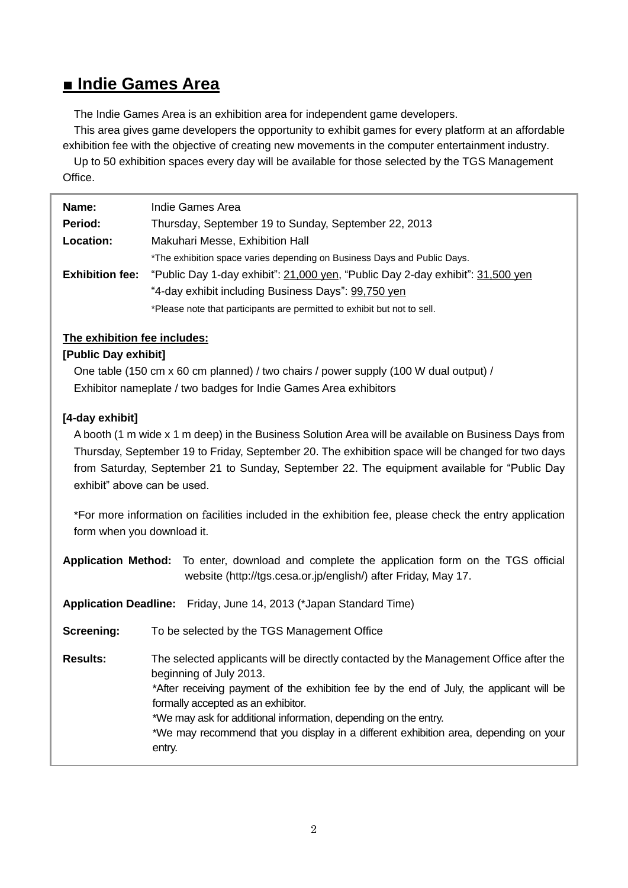# **■ Indie Games Area**

The Indie Games Area is an exhibition area for independent game developers.

This area gives game developers the opportunity to exhibit games for every platform at an affordable exhibition fee with the objective of creating new movements in the computer entertainment industry.

Up to 50 exhibition spaces every day will be available for those selected by the TGS Management Office.

| Name:                  | Indie Games Area                                                               |
|------------------------|--------------------------------------------------------------------------------|
| <b>Period:</b>         | Thursday, September 19 to Sunday, September 22, 2013                           |
| Location:              | Makuhari Messe, Exhibition Hall                                                |
|                        | *The exhibition space varies depending on Business Days and Public Days.       |
| <b>Exhibition fee:</b> | "Public Day 1-day exhibit": 21,000 yen, "Public Day 2-day exhibit": 31,500 yen |
|                        | "4-day exhibit including Business Days": 99,750 yen                            |
|                        | *Please note that participants are permitted to exhibit but not to sell.       |

#### **The exhibition fee includes:**

#### **[Public Day exhibit]**

One table (150 cm x 60 cm planned) / two chairs / power supply (100 W dual output) / Exhibitor nameplate / two badges for Indie Games Area exhibitors

#### **[4-day exhibit]**

A booth (1 m wide x 1 m deep) in the Business Solution Area will be available on Business Days from Thursday, September 19 to Friday, September 20. The exhibition space will be changed for two days from Saturday, September 21 to Sunday, September 22. The equipment available for "Public Day exhibit" above can be used.

\*For more information on facilities included in the exhibition fee, please check the entry application form when you download it.

|                 | Application Method: To enter, download and complete the application form on the TGS official<br>website (http://tgs.cesa.or.jp/english/) after Friday, May 17.                                                                                                                                                                                                                                                          |
|-----------------|-------------------------------------------------------------------------------------------------------------------------------------------------------------------------------------------------------------------------------------------------------------------------------------------------------------------------------------------------------------------------------------------------------------------------|
|                 | Application Deadline: Friday, June 14, 2013 (*Japan Standard Time)                                                                                                                                                                                                                                                                                                                                                      |
| Screening:      | To be selected by the TGS Management Office                                                                                                                                                                                                                                                                                                                                                                             |
| <b>Results:</b> | The selected applicants will be directly contacted by the Management Office after the<br>beginning of July 2013.<br>*After receiving payment of the exhibition fee by the end of July, the applicant will be<br>formally accepted as an exhibitor.<br>*We may ask for additional information, depending on the entry.<br>*We may recommend that you display in a different exhibition area, depending on your<br>entry. |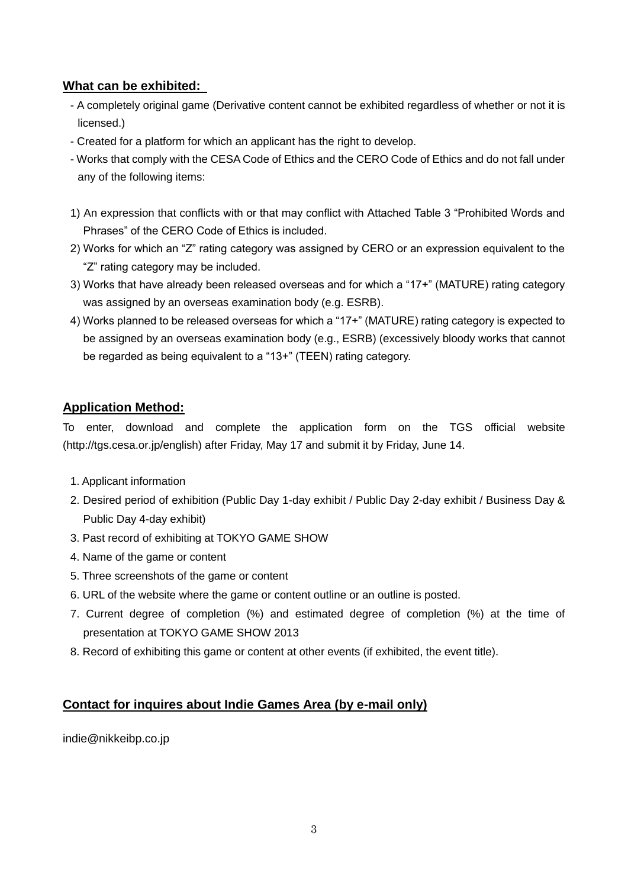#### **What can be exhibited:**

- A completely original game (Derivative content cannot be exhibited regardless of whether or not it is licensed.)
- Created for a platform for which an applicant has the right to develop.
- Works that comply with the CESA Code of Ethics and the CERO Code of Ethics and do not fall under any of the following items:
- 1) An expression that conflicts with or that may conflict with Attached Table 3 "Prohibited Words and Phrases" of the CERO Code of Ethics is included.
- 2) Works for which an "Z" rating category was assigned by CERO or an expression equivalent to the "Z" rating category may be included.
- 3) Works that have already been released overseas and for which a "17+" (MATURE) rating category was assigned by an overseas examination body (e.g. ESRB).
- 4) Works planned to be released overseas for which a "17+" (MATURE) rating category is expected to be assigned by an overseas examination body (e.g., ESRB) (excessively bloody works that cannot be regarded as being equivalent to a "13+" (TEEN) rating category.

#### **Application Method:**

To enter, download and complete the application form on the TGS official website (http://tgs.cesa.or.jp/english) after Friday, May 17 and submit it by Friday, June 14.

- 1. Applicant information
- 2. Desired period of exhibition (Public Day 1-day exhibit / Public Day 2-day exhibit / Business Day & Public Day 4-day exhibit)
- 3. Past record of exhibiting at TOKYO GAME SHOW
- 4. Name of the game or content
- 5. Three screenshots of the game or content
- 6. URL of the website where the game or content outline or an outline is posted.
- 7. Current degree of completion (%) and estimated degree of completion (%) at the time of presentation at TOKYO GAME SHOW 2013
- 8. Record of exhibiting this game or content at other events (if exhibited, the event title).

## **Contact for inquires about Indie Games Area (by e-mail only)**

indie@nikkeibp.co.jp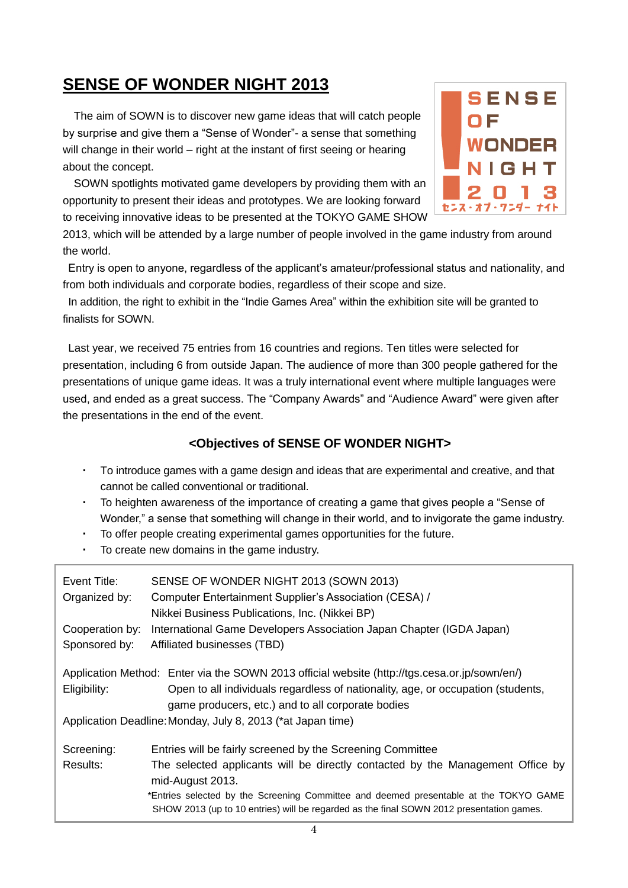# **SENSE OF WONDER NIGHT 2013**

The aim of SOWN is to discover new game ideas that will catch people by surprise and give them a "Sense of Wonder"- a sense that something will change in their world – right at the instant of first seeing or hearing about the concept.

SOWN spotlights motivated game developers by providing them with an opportunity to present their ideas and prototypes. We are looking forward to receiving innovative ideas to be presented at the TOKYO GAME SHOW



2013, which will be attended by a large number of people involved in the game industry from around the world.

Entry is open to anyone, regardless of the applicant's amateur/professional status and nationality, and from both individuals and corporate bodies, regardless of their scope and size.

In addition, the right to exhibit in the "Indie Games Area" within the exhibition site will be granted to finalists for SOWN.

Last year, we received 75 entries from 16 countries and regions. Ten titles were selected for presentation, including 6 from outside Japan. The audience of more than 300 people gathered for the presentations of unique game ideas. It was a truly international event where multiple languages were used, and ended as a great success. The "Company Awards" and "Audience Award" were given after the presentations in the end of the event.

## **<Objectives of SENSE OF WONDER NIGHT>**

- ・ To introduce games with a game design and ideas that are experimental and creative, and that cannot be called conventional or traditional.
- To heighten awareness of the importance of creating a game that gives people a "Sense of Wonder," a sense that something will change in their world, and to invigorate the game industry.
- To offer people creating experimental games opportunities for the future.
- To create new domains in the game industry.

| Event Title:<br>Organized by:                                                                 | SENSE OF WONDER NIGHT 2013 (SOWN 2013)<br>Computer Entertainment Supplier's Association (CESA) /<br>Nikkei Business Publications, Inc. (Nikkei BP)                                |  |
|-----------------------------------------------------------------------------------------------|-----------------------------------------------------------------------------------------------------------------------------------------------------------------------------------|--|
| Cooperation by:<br>Sponsored by:                                                              | International Game Developers Association Japan Chapter (IGDA Japan)<br>Affiliated businesses (TBD)                                                                               |  |
| Application Method: Enter via the SOWN 2013 official website (http://tgs.cesa.or.jp/sown/en/) |                                                                                                                                                                                   |  |
| Eligibility:                                                                                  | Open to all individuals regardless of nationality, age, or occupation (students,<br>game producers, etc.) and to all corporate bodies                                             |  |
| Application Deadline: Monday, July 8, 2013 (*at Japan time)                                   |                                                                                                                                                                                   |  |
| Screening:                                                                                    | Entries will be fairly screened by the Screening Committee                                                                                                                        |  |
| Results:                                                                                      | The selected applicants will be directly contacted by the Management Office by<br>mid-August 2013.                                                                                |  |
|                                                                                               | *Entries selected by the Screening Committee and deemed presentable at the TOKYO GAME<br>SHOW 2013 (up to 10 entries) will be regarded as the final SOWN 2012 presentation games. |  |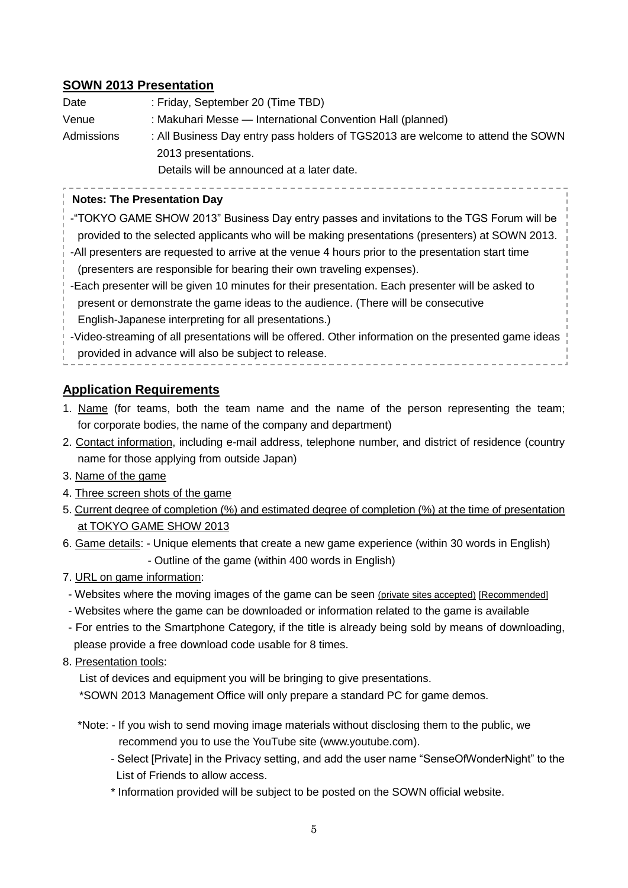#### **SOWN 2013 Presentation**

| Date       | : Friday, September 20 (Time TBD)                                               |
|------------|---------------------------------------------------------------------------------|
| Venue      | : Makuhari Messe — International Convention Hall (planned)                      |
| Admissions | : All Business Day entry pass holders of TGS2013 are welcome to attend the SOWN |
|            | 2013 presentations.                                                             |
|            | Details will be announced at a later date.                                      |

#### **Notes: The Presentation Day**

-"TOKYO GAME SHOW 2013" Business Day entry passes and invitations to the TGS Forum will be provided to the selected applicants who will be making presentations (presenters) at SOWN 2013. -All presenters are requested to arrive at the venue 4 hours prior to the presentation start time (presenters are responsible for bearing their own traveling expenses). -Each presenter will be given 10 minutes for their presentation. Each presenter will be asked to present or demonstrate the game ideas to the audience. (There will be consecutive English-Japanese interpreting for all presentations.) -Video-streaming of all presentations will be offered. Other information on the presented game ideas provided in advance will also be subject to release.

#### **Application Requirements**

- 1. Name (for teams, both the team name and the name of the person representing the team; for corporate bodies, the name of the company and department)
- 2. Contact information, including e-mail address, telephone number, and district of residence (country name for those applying from outside Japan)
- 3. Name of the game
- 4. Three screen shots of the game
- 5. Current degree of completion (%) and estimated degree of completion (%) at the time of presentation at TOKYO GAME SHOW 2013
- 6. Game details: Unique elements that create a new game experience (within 30 words in English) - Outline of the game (within 400 words in English)
- 7. URL on game information:
- Websites where the moving images of the game can be seen (private sites accepted) [Recommended]
- Websites where the game can be downloaded or information related to the game is available
- For entries to the Smartphone Category, if the title is already being sold by means of downloading, please provide a free download code usable for 8 times.
- 8. Presentation tools:

List of devices and equipment you will be bringing to give presentations.

\*SOWN 2013 Management Office will only prepare a standard PC for game demos.

- \*Note: If you wish to send moving image materials without disclosing them to the public, we recommend you to use the YouTube site (www.youtube.com).
	- Select [Private] in the Privacy setting, and add the user name "SenseOfWonderNight" to the List of Friends to allow access.
	- \* Information provided will be subject to be posted on the SOWN official website.